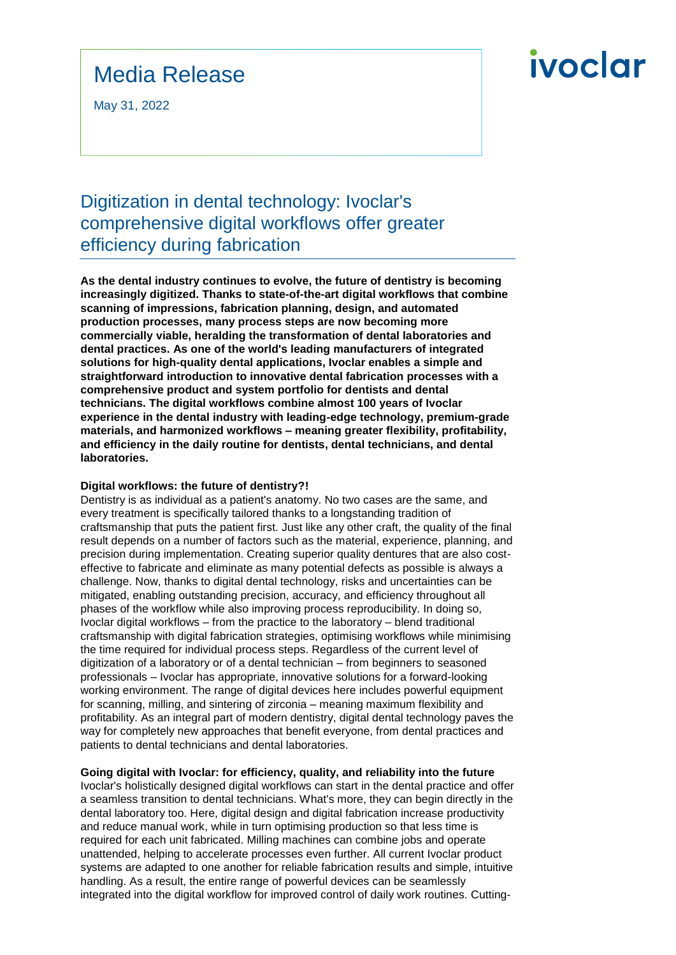### Media Release

May 31, 2022

## ivoclar

### Digitization in dental technology: Ivoclar's comprehensive digital workflows offer greater efficiency during fabrication

**As the dental industry continues to evolve, the future of dentistry is becoming increasingly digitized. Thanks to state-of-the-art digital workflows that combine scanning of impressions, fabrication planning, design, and automated production processes, many process steps are now becoming more commercially viable, heralding the transformation of dental laboratories and dental practices. As one of the world's leading manufacturers of integrated solutions for high-quality dental applications, Ivoclar enables a simple and straightforward introduction to innovative dental fabrication processes with a comprehensive product and system portfolio for dentists and dental technicians. The digital workflows combine almost 100 years of Ivoclar experience in the dental industry with leading-edge technology, premium-grade materials, and harmonized workflows – meaning greater flexibility, profitability, and efficiency in the daily routine for dentists, dental technicians, and dental laboratories.**

#### **Digital workflows: the future of dentistry?!**

Dentistry is as individual as a patient's anatomy. No two cases are the same, and every treatment is specifically tailored thanks to a longstanding tradition of craftsmanship that puts the patient first. Just like any other craft, the quality of the final result depends on a number of factors such as the material, experience, planning, and precision during implementation. Creating superior quality dentures that are also costeffective to fabricate and eliminate as many potential defects as possible is always a challenge. Now, thanks to digital dental technology, risks and uncertainties can be mitigated, enabling outstanding precision, accuracy, and efficiency throughout all phases of the workflow while also improving process reproducibility. In doing so, Ivoclar digital workflows – from the practice to the laboratory – blend traditional craftsmanship with digital fabrication strategies, optimising workflows while minimising the time required for individual process steps. Regardless of the current level of digitization of a laboratory or of a dental technician – from beginners to seasoned professionals – Ivoclar has appropriate, innovative solutions for a forward-looking working environment. The range of digital devices here includes powerful equipment for scanning, milling, and sintering of zirconia – meaning maximum flexibility and profitability. As an integral part of modern dentistry, digital dental technology paves the way for completely new approaches that benefit everyone, from dental practices and patients to dental technicians and dental laboratories.

#### **Going digital with Ivoclar: for efficiency, quality, and reliability into the future**

Ivoclar's holistically designed digital workflows can start in the dental practice and offer a seamless transition to dental technicians. What's more, they can begin directly in the dental laboratory too. Here, digital design and digital fabrication increase productivity and reduce manual work, while in turn optimising production so that less time is required for each unit fabricated. Milling machines can combine jobs and operate unattended, helping to accelerate processes even further. All current Ivoclar product systems are adapted to one another for reliable fabrication results and simple, intuitive handling. As a result, the entire range of powerful devices can be seamlessly integrated into the digital workflow for improved control of daily work routines. Cutting-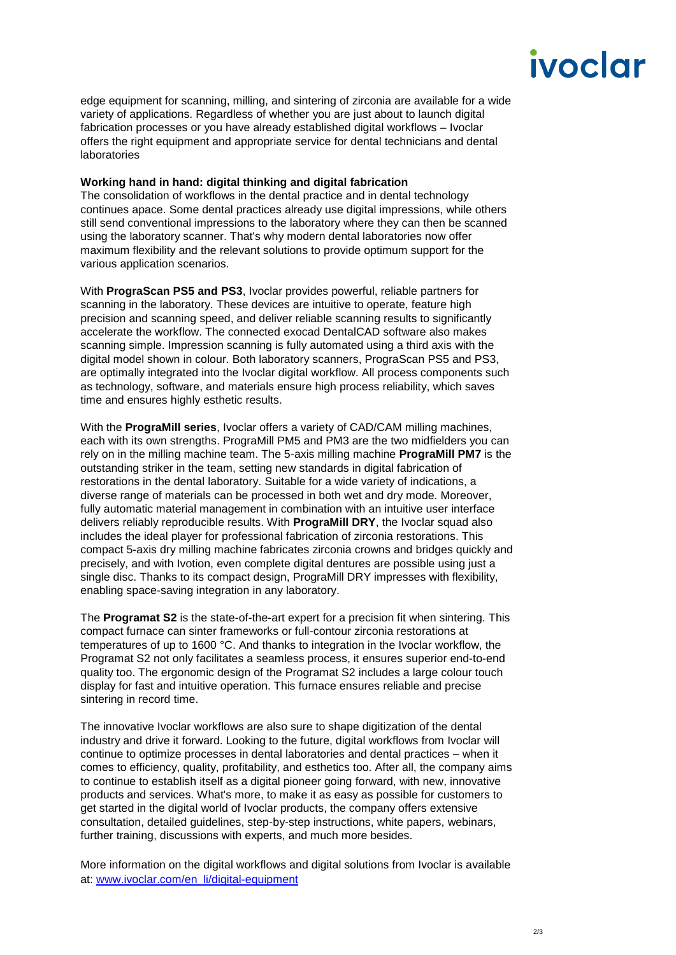# ivoclar

edge equipment for scanning, milling, and sintering of zirconia are available for a wide variety of applications. Regardless of whether you are just about to launch digital fabrication processes or you have already established digital workflows – Ivoclar offers the right equipment and appropriate service for dental technicians and dental laboratories

#### **Working hand in hand: digital thinking and digital fabrication**

The consolidation of workflows in the dental practice and in dental technology continues apace. Some dental practices already use digital impressions, while others still send conventional impressions to the laboratory where they can then be scanned using the laboratory scanner. That's why modern dental laboratories now offer maximum flexibility and the relevant solutions to provide optimum support for the various application scenarios.

With **PrograScan PS5 and PS3**, Ivoclar provides powerful, reliable partners for scanning in the laboratory. These devices are intuitive to operate, feature high precision and scanning speed, and deliver reliable scanning results to significantly accelerate the workflow. The connected exocad DentalCAD software also makes scanning simple. Impression scanning is fully automated using a third axis with the digital model shown in colour. Both laboratory scanners, PrograScan PS5 and PS3, are optimally integrated into the Ivoclar digital workflow. All process components such as technology, software, and materials ensure high process reliability, which saves time and ensures highly esthetic results.

With the **PrograMill series**, Ivoclar offers a variety of CAD/CAM milling machines, each with its own strengths. PrograMill PM5 and PM3 are the two midfielders you can rely on in the milling machine team. The 5-axis milling machine **PrograMill PM7** is the outstanding striker in the team, setting new standards in digital fabrication of restorations in the dental laboratory. Suitable for a wide variety of indications, a diverse range of materials can be processed in both wet and dry mode. Moreover, fully automatic material management in combination with an intuitive user interface delivers reliably reproducible results. With **PrograMill DRY**, the Ivoclar squad also includes the ideal player for professional fabrication of zirconia restorations. This compact 5-axis dry milling machine fabricates zirconia crowns and bridges quickly and precisely, and with Ivotion, even complete digital dentures are possible using just a single disc. Thanks to its compact design, PrograMill DRY impresses with flexibility, enabling space-saving integration in any laboratory.

The **Programat S2** is the state-of-the-art expert for a precision fit when sintering. This compact furnace can sinter frameworks or full-contour zirconia restorations at temperatures of up to 1600 °C. And thanks to integration in the Ivoclar workflow, the Programat S2 not only facilitates a seamless process, it ensures superior end-to-end quality too. The ergonomic design of the Programat S2 includes a large colour touch display for fast and intuitive operation. This furnace ensures reliable and precise sintering in record time.

The innovative Ivoclar workflows are also sure to shape digitization of the dental industry and drive it forward. Looking to the future, digital workflows from Ivoclar will continue to optimize processes in dental laboratories and dental practices – when it comes to efficiency, quality, profitability, and esthetics too. After all, the company aims to continue to establish itself as a digital pioneer going forward, with new, innovative products and services. What's more, to make it as easy as possible for customers to get started in the digital world of Ivoclar products, the company offers extensive consultation, detailed guidelines, step-by-step instructions, white papers, webinars, further training, discussions with experts, and much more besides.

More information on the digital workflows and digital solutions from Ivoclar is available at: [www.ivoclar.com/en\\_li/digital-equipment](http://www.ivoclar.com/en_li/digital-equipment)